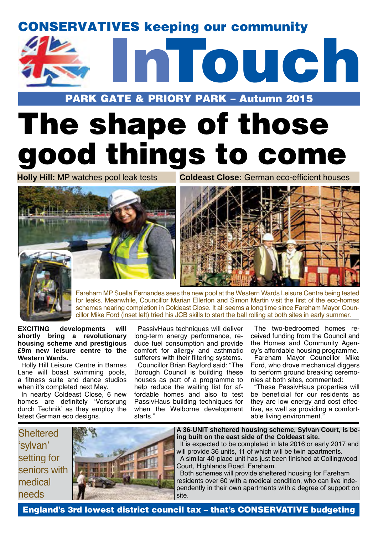## CONSERVATIVES keeping our community



### PARK GATE & PRIORY PARK – Autumn 2015

# The shape of those good things to come

**Holly Hill:** MP watches pool leak tests **Coldeast Close:** German eco-efficient houses





Fareham MP Suella Fernandes sees the new pool at the Western Wards Leisure Centre being tested for leaks. Meanwhile, Councillor Marian Ellerton and Simon Martin visit the first of the eco-homes schemes nearing completion in Coldeast Close. It all seems a long time since Fareham Mayor Councillor Mike Ford (inset left) tried his JCB skills to start the ball rolling at both sites in early summer.

**EXCITING developments will shortly bring a revolutionary housing scheme and prestigious £9m new leisure centre to the Western Wards.**

Holly Hill Leisure Centre in Barnes Lane will boast swimming pools, a fitness suite and dance studios when it's completed next May.

In nearby Coldeast Close, 6 new homes are definitely 'Vorsprung durch Technik' as they employ the latest German eco designs.

PassivHaus techniques will deliver long-term energy performance, reduce fuel consumption and provide comfort for allergy and asthmatic sufferers with their filtering systems.

Councillor Brian Bayford said: "The Borough Council is building these houses as part of a programme to help reduce the waiting list for affordable homes and also to test PassivHaus building techniques for when the Welborne development starts<sup>'</sup>

The two-bedroomed homes received funding from the Council and the Homes and Community Agency's affordable housing programme. Fareham Mayor Councillor Mike Ford, who drove mechanical diggers to perform ground breaking ceremonies at both sites, commented:

"These PassivHaus properties will be beneficial for our residents as they are low energy and cost effective, as well as providing a comfortable living environment."

**Sheltered** 'sylvan' setting for seniors with medical needs



**A 36-UNIT sheltered housing scheme, Sylvan Court, is being built on the east side of the Coldeast site.** 

It is expected to be completed in late 2016 or early 2017 and will provide 36 units, 11 of which will be twin apartments. A similar 40-place unit has just been finished at Collingwood Court, Highlands Road, Fareham.

Both schemes will provide sheltered housing for Fareham residents over 60 with a medical condition, who can live independently in their own apartments with a degree of support on site.

England's 3rd lowest district council tax – that's CONSERVATIVE budgeting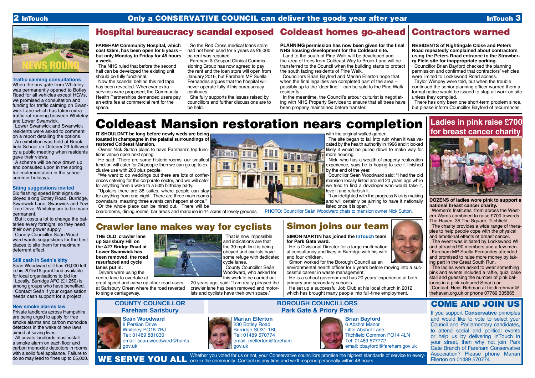#### **Traffic calming consultations**

When the bus gate from Whiteley was permanently opened to Botley Road for all vehicles except HGVs, we promised a consultation and funding for traffic calming on Swanwick Lane which has taken extra traffic rat running between Whiteley and Lower Swanwick.

Lower Swanwick and Swanwick residents were asked to comment on a report detailing the options.

An exhibition was held at Brookfield School on October 29 followed by a public meeting when residents gave their views.

A scheme will be now drawn up and consulted upon in the spring for implementation in the school summer holidays.

### **Siting suggestions invited**

Six flashing speed limit signs deployed along Botley Road, Burridge, Swanwick Lane, Swanwick and Yew Tree Drive, Whiteley are to be made permanent.

> Whether you voted for us or not, your Conservative councillors promise the highest standards of service to every-WE SERVE YOU ALL one in the community. Contact us any time and we'll respond personally within 48 hours.

But it costs a lot to change the batteries every fortnight, so they need their own power supply.

County Councillor Seán Woodward wants suggestions for the best places to site them for maximum deterrent effect.

#### **Still cash in Seán's kitty**

Seán Woodward still has £6,000 left in his 2015/16 grant fund available for local organisations to bid for. Locally, Burridge AFC (£1,250) is among groups who have benefited. Contact Seán if your organisation needs cash support for a project.

#### **New smoke alarms law**

Private landlords across Hampshire are being urged to apply for free smoke alarms and carbon monoxide detectors in the wake of new laws aimed at saving lives.

All private landlords must install a smoke alarm on each floor and carbon monoxide detectors in rooms with a solid fuel appliance. Failure to do so may lead to fines up to £5,000.

### Hospital bureaucracy scandal exposed | Coldeast homes go-ahead

He set up a successful Job Club at his local church in 2012 which has brought many people into full-time employment.

**Marian Ellerton** 230 Botley Road Burridge SO31 1BL Tel: 01489 570774 email: mellerton@fareham. gov.uk

**Seán Woodward** 8 Persian Drive Whiteley PO15 7BJ Tel: 01489 881030

email: sean.woodward@hants

gov.uk

**COUNTY COUNCILLOR Fareham Sarisbury**

### **BOROUGH COUNCILLORS Park Gate & Priory Park**



### COME AND JOIN US

If you support **Conservative** principles and would like to vote to select your Council and Parliamentary candidates, to attend social and political events or help us by delivering InTouch in your street, then why not join Park Gate Branch of Fareham Conservative Association? Please phone Marian Ellerton on 01489 570774.

**Brian Bayford** 6 Abshot Manor Little Abshot Lane Titchfield Common PO14 4LN Tel: 01489 577772 email: bbayford@fareham.gov.uk

#### **PLANNING permission has now been given for the final NHS housing development for the Coldeast site.**

Land to the south of Pine Walk will be developed and the area of trees from Coldeast Way to Brook Lane will be transferred to the Council when the building starts to protect the south facing residents of Pine Walk.

He said: "There are some historic rooms, our smallest function will cater for 24 people then we can go up to exclusive use with 200 plus people.

Councillors Brian Bayford and Marian Ellerton hope that when the final legalities are completed part of the area  $$ possibly up to the 'deer line' – can be sold to the Pine Walk residents.

In the meantime, the Council's arbour culturist is negotiating with NHS Property Services to ensure that all trees have been properly maintained before transfer.

# **SIMON MARTIN has joined the InTouch team**  He is Divisional Director for a large multi-nation-

al consultancy and lives in Burridge with his wife and four children.

environmental health officer for 5 years before moving into a successful career in waste management.





He is a school governor and has 20 years' experience at both primary and secondary schools.



**Ladies in pink raise £700 for breast cancer charity**



**DOZENS of ladies wore pink to support a national breast cancer charity.**

Women's Institutes from across the Western Wards combined to raise £700 towards The Haven, 35 The Square, Titchfield. The charity provides a wide range of therapies to help people cope with the physical and emotional effects of breast cancer.

The event was initiated by Lockswood WI and attracted 90 members and a few men. Fareham MP Suella Fernandes attended and promised to raise more money by taking part in the Great South Run.

The ladies were asked to wear something pink and events included a raffle, quiz, cake stall and guessing the number of pink balloons in a pink coloured Smart car.

Contact: Heidi Rehman at heidi.rehman@ thehaven.org.uk or phone 07769 335865

**FAREHAM Community Hospital, which cost £25m, has been open for 5 years – but only Monday to Friday for 45 hours a week.** 

The NHS ruled that before the second half can be developed the existing unit should be fully functional.

Now the scandal behind this red tape has been revealed. Whenever extra services were proposed, the Community Health Partnerships demanded users pay an extra fee at commercial rent for the space.

So the Red Cross medical loans store had not been used for 5 years as £6,000 pa rent was required.

Fareham & Gosport Clinical Commissioning Group has now agreed to pay the rent and the loan store will open from January 2016, but Fareham MP Suella Fernandes argues that the hospital will never operate fully if this bureaucracy continues.

She fully supports the issues raised by councillors and further discussions are to be held.

# Coldeast Mansion restoration nears completion

**IT SHOULDN'T be long before newly weds are being toasted in champagne in the palatial surroundings of restored Coldeast Mansion.**

Owner Nick Sutton plans to have Fareham's top functions venue open next spring.

"We want to do weddings but there are lots of conferences catering for the corporate sector, and we will cater for anything from a wake to a 50th birthday party.

"Upstairs there are 38 suites, where people can stay for anything from one night. There are three main rooms downstairs, meaning three events can happen at once."

Or the whole place can be hired out. There will be

boardrooms, dining rooms, bar areas and marquee in 14 acres of lovely grounds



with the original walled garden.

The site began to fall into ruin when it was vacated by the health authority in 1996 and it looked likely it would be pulled down to make way for more housing.

Nick, who has a wealth of property restoration experience, says he is hoping to see it finished by the end of the year.

Councillor Seán Woodward said: "I had the old mansion locally listed around 20 years ago while we tried to find a developer who would take it. love it and refurbish it.

"I am delighted with the progress Nick is making and will certainly be aiming to have it nationally listed once it is open."

**PHOTO:** Councillor Seán Woodward chats to mansion owner Nick Sutton.

**THE OLD crawler lane up Sarisbury Hill on the A27 Bridge Road at Lower Swanwick has been removed, the road resurfaced and cycle lanes put in.**

Drivers were using the centre lane to overtake at

great speed and carve up other road users at Sarisbury Green where the road reverted to single carriageway.

That is now impossible and indications are that the 30-mph limit is being obeyed and cyclists have some refuge with dedicated cycle lanes.

County Councillor Seán

Woodward, who asked for this work to be carried out

20 years ago, said: "I am really pleased the crawler lane has been removed and motor-

ists and cyclists have their own space."

# Crawler lane makes way for cyclists

**RESIDENTS of Nightingale Close and Peters Road repeatedly complained about contractors using the Peters Road entrance to the Strawberry Field site for inappropriate parking.**

Councillor Brian Bayford checked the planning permission and confirmed that contractors' vehicles were limited to Lockswood Road access.

Taylor Wimpey were told, but when the trouble continued the senior planning officer warned them a formal notice would be issued to stop all work on site unless they complied.

There has only been one short-term problem since, but please inform Councillor Bayford of recurrences.



# Contractors warned